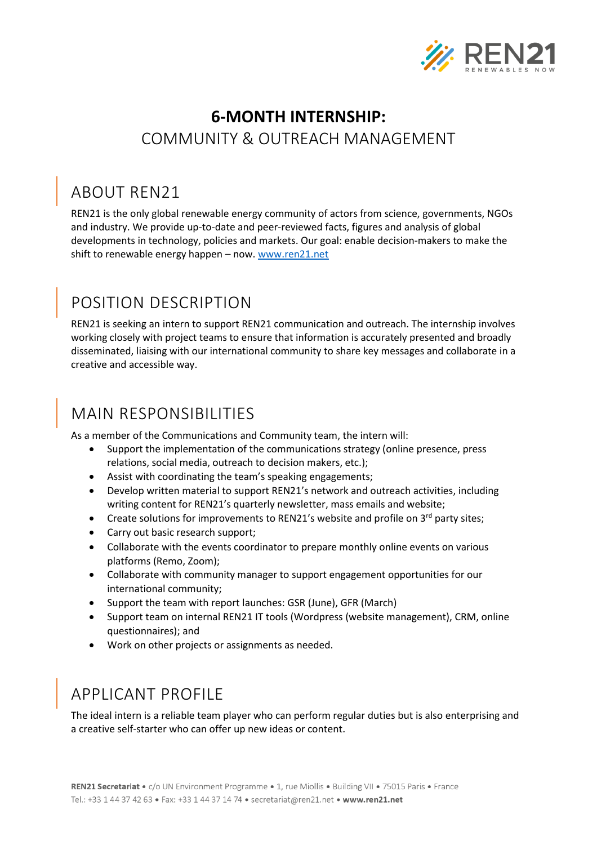

### **6-MONTH INTERNSHIP:**  COMMUNITY & OUTREACH MANAGEMENT

#### ABOUT REN21

REN21 is the only global renewable energy community of actors from science, governments, NGOs and industry. We provide up-to-date and peer-reviewed facts, figures and analysis of global developments in technology, policies and markets. Our goal: enable decision-makers to make the shift to renewable energy happen – now. [www.ren21.net](http://www.ren21.net/)

# POSITION DESCRIPTION

REN21 is seeking an intern to support REN21 communication and outreach. The internship involves working closely with project teams to ensure that information is accurately presented and broadly disseminated, liaising with our international community to share key messages and collaborate in a creative and accessible way.

## MAIN RESPONSIBILITIES

As a member of the Communications and Community team, the intern will:

- Support the implementation of the communications strategy (online presence, press relations, social media, outreach to decision makers, etc.);
- Assist with coordinating the team's speaking engagements;
- Develop written material to support REN21's network and outreach activities, including writing content for REN21's quarterly newsletter, mass emails and website;
- Create solutions for improvements to REN21's website and profile on  $3^{rd}$  party sites;
- Carry out basic research support;
- Collaborate with the events coordinator to prepare monthly online events on various platforms (Remo, Zoom);
- Collaborate with community manager to support engagement opportunities for our international community;
- Support the team with report launches: GSR (June), GFR (March)
- Support team on internal REN21 IT tools (Wordpress (website management), CRM, online questionnaires); and
- Work on other projects or assignments as needed.

#### APPLICANT PROFILE

The ideal intern is a reliable team player who can perform regular duties but is also enterprising and a creative self-starter who can offer up new ideas or content.